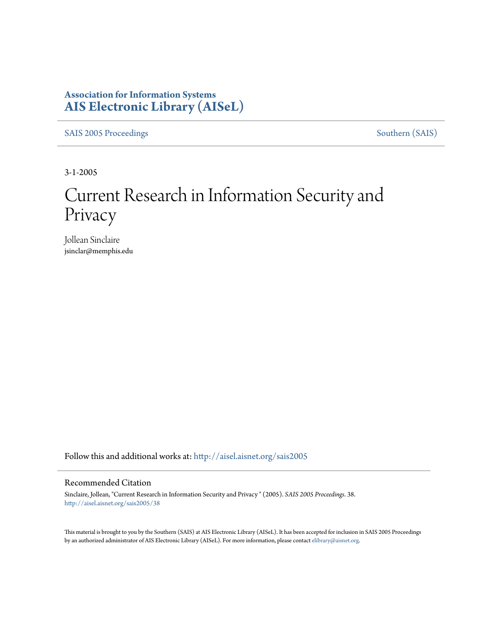## **Association for Information Systems [AIS Electronic Library \(AISeL\)](http://aisel.aisnet.org?utm_source=aisel.aisnet.org%2Fsais2005%2F38&utm_medium=PDF&utm_campaign=PDFCoverPages)**

[SAIS 2005 Proceedings](http://aisel.aisnet.org/sais2005?utm_source=aisel.aisnet.org%2Fsais2005%2F38&utm_medium=PDF&utm_campaign=PDFCoverPages) [Southern \(SAIS\)](http://aisel.aisnet.org/sais?utm_source=aisel.aisnet.org%2Fsais2005%2F38&utm_medium=PDF&utm_campaign=PDFCoverPages)

3-1-2005

# Current Research in Information Security and Privacy

Jollean Sinclaire jsinclar@memphis.edu

Follow this and additional works at: [http://aisel.aisnet.org/sais2005](http://aisel.aisnet.org/sais2005?utm_source=aisel.aisnet.org%2Fsais2005%2F38&utm_medium=PDF&utm_campaign=PDFCoverPages)

#### Recommended Citation

Sinclaire, Jollean, "Current Research in Information Security and Privacy " (2005). *SAIS 2005 Proceedings*. 38. [http://aisel.aisnet.org/sais2005/38](http://aisel.aisnet.org/sais2005/38?utm_source=aisel.aisnet.org%2Fsais2005%2F38&utm_medium=PDF&utm_campaign=PDFCoverPages)

This material is brought to you by the Southern (SAIS) at AIS Electronic Library (AISeL). It has been accepted for inclusion in SAIS 2005 Proceedings by an authorized administrator of AIS Electronic Library (AISeL). For more information, please contact [elibrary@aisnet.org](mailto:elibrary@aisnet.org%3E).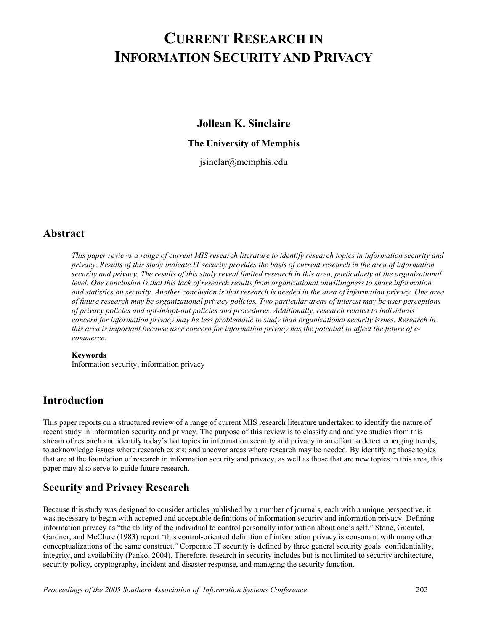## **CURRENT RESEARCH IN INFORMATION SECURITY AND PRIVACY**

**Jollean K. Sinclaire** 

#### **The University of Memphis**

jsinclar@memphis.edu

## **Abstract**

*This paper reviews a range of current MIS research literature to identify research topics in information security and privacy. Results of this study indicate IT security provides the basis of current research in the area of information security and privacy. The results of this study reveal limited research in this area, particularly at the organizational level. One conclusion is that this lack of research results from organizational unwillingness to share information and statistics on security. Another conclusion is that research is needed in the area of information privacy. One area of future research may be organizational privacy policies. Two particular areas of interest may be user perceptions of privacy policies and opt-in/opt-out policies and procedures. Additionally, research related to individuals' concern for information privacy may be less problematic to study than organizational security issues. Research in this area is important because user concern for information privacy has the potential to affect the future of ecommerce.* 

#### **Keywords**

Information security; information privacy

## **Introduction**

This paper reports on a structured review of a range of current MIS research literature undertaken to identify the nature of recent study in information security and privacy. The purpose of this review is to classify and analyze studies from this stream of research and identify today's hot topics in information security and privacy in an effort to detect emerging trends; to acknowledge issues where research exists; and uncover areas where research may be needed. By identifying those topics that are at the foundation of research in information security and privacy, as well as those that are new topics in this area, this paper may also serve to guide future research.

## **Security and Privacy Research**

Because this study was designed to consider articles published by a number of journals, each with a unique perspective, it was necessary to begin with accepted and acceptable definitions of information security and information privacy. Defining information privacy as "the ability of the individual to control personally information about one's self," Stone, Gueutel, Gardner, and McClure (1983) report "this control-oriented definition of information privacy is consonant with many other conceptualizations of the same construct." Corporate IT security is defined by three general security goals: confidentiality, integrity, and availability (Panko, 2004). Therefore, research in security includes but is not limited to security architecture, security policy, cryptography, incident and disaster response, and managing the security function.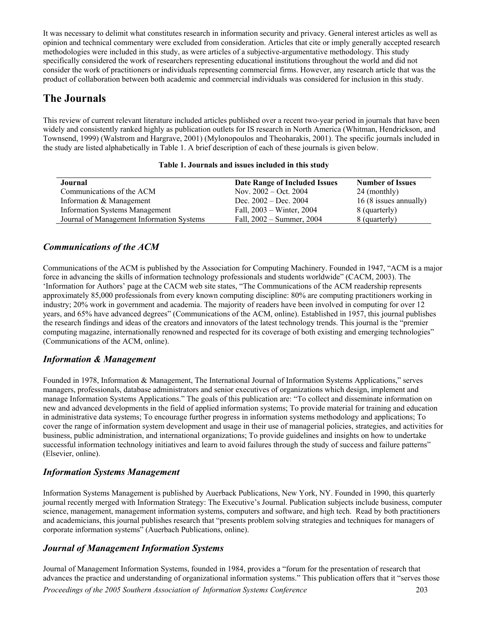It was necessary to delimit what constitutes research in information security and privacy. General interest articles as well as opinion and technical commentary were excluded from consideration. Articles that cite or imply generally accepted research methodologies were included in this study, as were articles of a subjective-argumentative methodology. This study specifically considered the work of researchers representing educational institutions throughout the world and did not consider the work of practitioners or individuals representing commercial firms. However, any research article that was the product of collaboration between both academic and commercial individuals was considered for inclusion in this study.

## **The Journals**

This review of current relevant literature included articles published over a recent two-year period in journals that have been widely and consistently ranked highly as publication outlets for IS research in North America (Whitman, Hendrickson, and Townsend, 1999) (Walstrom and Hargrave, 2001) (Mylonopoulos and Theoharakis, 2001). The specific journals included in the study are listed alphabetically in Table 1. A brief description of each of these journals is given below.

| Journal                                   | <b>Date Range of Included Issues</b> | <b>Number of Issues</b> |
|-------------------------------------------|--------------------------------------|-------------------------|
| Communications of the ACM                 | Nov. $2002 - \text{Oct. } 2004$      | 24 (monthly)            |
| Information & Management                  | Dec. $2002 - Dec. 2004$              | 16 (8 issues annually)  |
| <b>Information Systems Management</b>     | Fall, 2003 – Winter, 2004            | 8 (quarterly)           |
| Journal of Management Information Systems | Fall, $2002 -$ Summer, $2004$        | 8 (quarterly)           |

#### **Table 1. Journals and issues included in this study**

#### *Communications of the ACM*

Communications of the ACM is published by the Association for Computing Machinery. Founded in 1947, "ACM is a major force in advancing the skills of information technology professionals and students worldwide" (CACM, 2003). The 'Information for Authors' page at the CACM web site states, "The Communications of the ACM readership represents approximately 85,000 professionals from every known computing discipline: 80% are computing practitioners working in industry; 20% work in government and academia. The majority of readers have been involved in computing for over 12 years, and 65% have advanced degrees" (Communications of the ACM, online). Established in 1957, this journal publishes the research findings and ideas of the creators and innovators of the latest technology trends. This journal is the "premier computing magazine, internationally renowned and respected for its coverage of both existing and emerging technologies" (Communications of the ACM, online).

#### *Information & Management*

Founded in 1978, Information & Management, The International Journal of Information Systems Applications," serves managers, professionals, database administrators and senior executives of organizations which design, implement and manage Information Systems Applications." The goals of this publication are: "To collect and disseminate information on new and advanced developments in the field of applied information systems; To provide material for training and education in administrative data systems; To encourage further progress in information systems methodology and applications; To cover the range of information system development and usage in their use of managerial policies, strategies, and activities for business, public administration, and international organizations; To provide guidelines and insights on how to undertake successful information technology initiatives and learn to avoid failures through the study of success and failure patterns" (Elsevier, online).

#### *Information Systems Management*

Information Systems Management is published by Auerback Publications, New York, NY. Founded in 1990, this quarterly journal recently merged with Information Strategy: The Executive's Journal. Publication subjects include business, computer science, management, management information systems, computers and software, and high tech. Read by both practitioners and academicians, this journal publishes research that "presents problem solving strategies and techniques for managers of corporate information systems" (Auerbach Publications, online).

#### *Journal of Management Information Systems*

Journal of Management Information Systems, founded in 1984, provides a "forum for the presentation of research that advances the practice and understanding of organizational information systems." This publication offers that it "serves those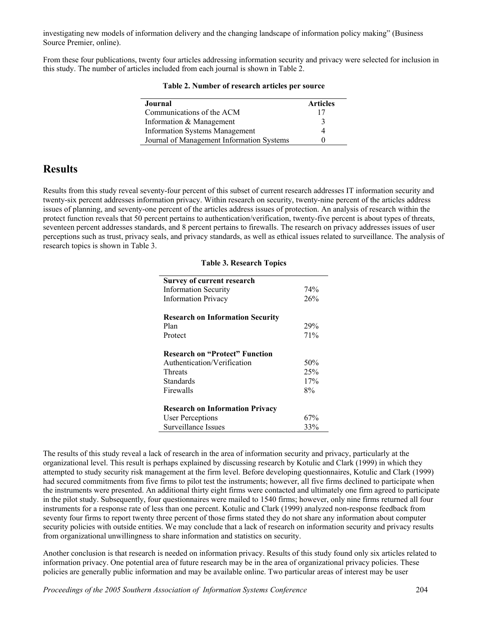investigating new models of information delivery and the changing landscape of information policy making" (Business Source Premier, online).

From these four publications, twenty four articles addressing information security and privacy were selected for inclusion in this study. The number of articles included from each journal is shown in Table 2.

| Table 2. Number of research articles per source                                                    |         |
|----------------------------------------------------------------------------------------------------|---------|
| urnal                                                                                              | Article |
| $\ldots$ $\ldots$ $\ldots$ $\ldots$ $\ldots$ $\ldots$ $\ldots$ $\ldots$ $\ldots$ $\ldots$ $\ldots$ |         |

| Journal                                   | <b>Articles</b> |
|-------------------------------------------|-----------------|
| Communications of the ACM                 | 17              |
| Information & Management                  | $\mathbf{a}$    |
| <b>Information Systems Management</b>     |                 |
| Journal of Management Information Systems |                 |

## **Results**

Results from this study reveal seventy-four percent of this subset of current research addresses IT information security and twenty-six percent addresses information privacy. Within research on security, twenty-nine percent of the articles address issues of planning, and seventy-one percent of the articles address issues of protection. An analysis of research within the protect function reveals that 50 percent pertains to authentication/verification, twenty-five percent is about types of threats, seventeen percent addresses standards, and 8 percent pertains to firewalls. The research on privacy addresses issues of user perceptions such as trust, privacy seals, and privacy standards, as well as ethical issues related to surveillance. The analysis of research topics is shown in Table 3.

#### **Table 3. Research Topics**

| Survey of current research              |     |
|-----------------------------------------|-----|
| <b>Information Security</b>             | 74% |
| <b>Information Privacy</b>              | 26% |
| <b>Research on Information Security</b> |     |
| Plan                                    | 29% |
| Protect                                 | 71% |
| <b>Research on "Protect" Function</b>   |     |
| Authentication/Verification             | 50% |
| <b>Threats</b>                          | 25% |
| Standards                               | 17% |
| Firewalls                               | 8%  |
| <b>Research on Information Privacy</b>  |     |
| User Perceptions                        | 67% |
| Surveillance Issues                     | 33% |

The results of this study reveal a lack of research in the area of information security and privacy, particularly at the organizational level. This result is perhaps explained by discussing research by Kotulic and Clark (1999) in which they attempted to study security risk management at the firm level. Before developing questionnaires, Kotulic and Clark (1999) had secured commitments from five firms to pilot test the instruments; however, all five firms declined to participate when the instruments were presented. An additional thirty eight firms were contacted and ultimately one firm agreed to participate in the pilot study. Subsequently, four questionnaires were mailed to 1540 firms; however, only nine firms returned all four instruments for a response rate of less than one percent. Kotulic and Clark (1999) analyzed non-response feedback from seventy four firms to report twenty three percent of those firms stated they do not share any information about computer security policies with outside entities. We may conclude that a lack of research on information security and privacy results from organizational unwillingness to share information and statistics on security.

Another conclusion is that research is needed on information privacy. Results of this study found only six articles related to information privacy. One potential area of future research may be in the area of organizational privacy policies. These policies are generally public information and may be available online. Two particular areas of interest may be user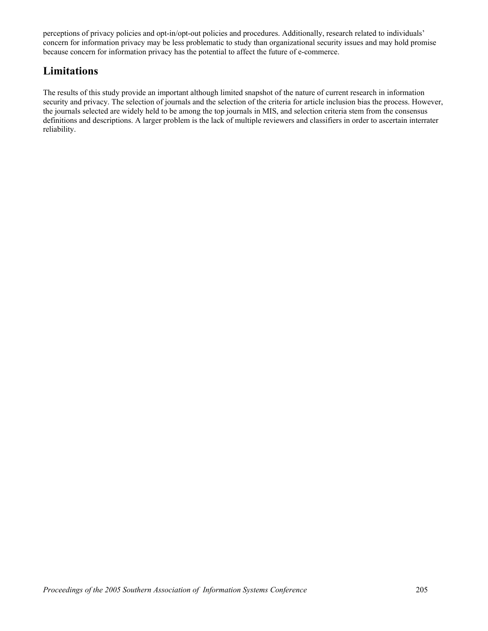perceptions of privacy policies and opt-in/opt-out policies and procedures. Additionally, research related to individuals' concern for information privacy may be less problematic to study than organizational security issues and may hold promise because concern for information privacy has the potential to affect the future of e-commerce.

## **Limitations**

The results of this study provide an important although limited snapshot of the nature of current research in information security and privacy. The selection of journals and the selection of the criteria for article inclusion bias the process. However, the journals selected are widely held to be among the top journals in MIS, and selection criteria stem from the consensus definitions and descriptions. A larger problem is the lack of multiple reviewers and classifiers in order to ascertain interrater reliability.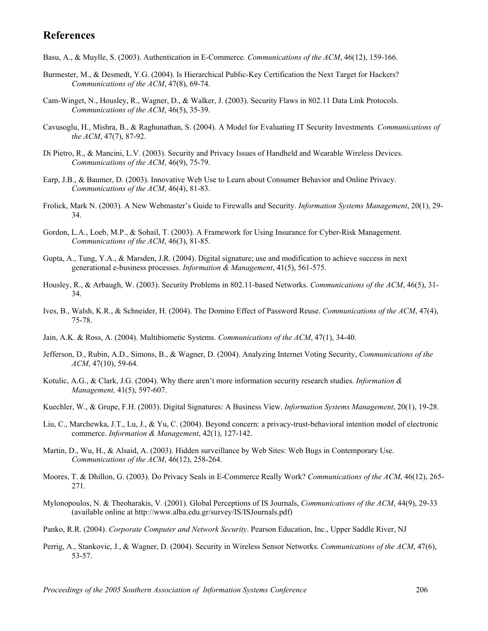## **References**

Basu, A., & Muylle, S. (2003). Authentication in E-Commerce*. Communications of the ACM*, 46(12), 159-166.

- Burmester, M., & Desmedt, Y.G. (2004). Is Hierarchical Public-Key Certification the Next Target for Hackers? *Communications of the ACM*, 47(8), 69-74.
- Cam-Winget, N., Housley, R., Wagner, D., & Walker, J. (2003). Security Flaws in 802.11 Data Link Protocols. *Communications of the ACM*, 46(5), 35-39.
- Cavusoglu, H., Mishra, B., & Raghunathan, S. (2004). A Model for Evaluating IT Security Investments*. Communications of the ACM*, 47(7), 87-92.
- Di Pietro, R., & Mancini, L.V. (2003). Security and Privacy Issues of Handheld and Wearable Wireless Devices. *Communications of the ACM*, 46(9), 75-79.
- Earp, J.B., & Baumer, D. (2003). Innovative Web Use to Learn about Consumer Behavior and Online Privacy. *Communications of the ACM*, 46(4), 81-83.
- Frolick, Mark N. (2003). A New Webmaster's Guide to Firewalls and Security. *Information Systems Management*, 20(1), 29- 34.
- Gordon, L.A., Loeb, M.P., & Sohail, T. (2003). A Framework for Using Insurance for Cyber-Risk Management. *Communications of the ACM*, 46(3), 81-85.
- Gupta, A., Tung, Y.A., & Marsden, J.R. (2004). Digital signature; use and modification to achieve success in next generational e-business processes. *Information & Management*, 41(5), 561-575.
- Housley, R., & Arbaugh, W. (2003). Security Problems in 802.11-based Networks. *Communications of the ACM*, 46(5), 31- 34.
- Ives, B., Walsh, K.R., & Schneider, H. (2004). The Domino Effect of Password Reuse. *Communications of the ACM*, 47(4), 75-78.
- Jain, A.K. & Ross, A. (2004). Multibiometic Systems. *Communications of the ACM*, 47(1), 34-40.
- Jefferson, D., Rubin, A.D., Simons, B., & Wagner, D. (2004). Analyzing Internet Voting Security, *Communications of the ACM*, 47(10), 59-64.
- Kotulic, A.G., & Clark, J.G. (2004). Why there aren't more information security research studies. *Information & Management,* 41(5), 597-607.
- Kuechler, W., & Grupe, F.H. (2003). Digital Signatures: A Business View. *Information Systems Management*, 20(1), 19-28.
- Liu, C., Marchewka, J.T., Lu, J., & Yu, C. (2004). Beyond concern: a privacy-trust-behavioral intention model of electronic commerce. *Information & Management*, 42(1), 127-142.
- Martin, D., Wu, H., & Alsaid, A. (2003). Hidden surveillance by Web Sites: Web Bugs in Contemporary Use. *Communications of the ACM*, 46(12), 258-264.
- Moores, T. & Dhillon, G. (2003). Do Privacy Seals in E-Commerce Really Work? *Communications of the ACM*, 46(12), 265- 271.
- Mylonopoulos, N. & Theoharakis, V. (2001). Global Perceptions of IS Journals, *Communications of the ACM*, 44(9), 29-33 (available online at http://www.alba.edu.gr/survey/IS/ISJournals.pdf)
- Panko, R.R. (2004). *Corporate Computer and Network Security*. Pearson Education, Inc., Upper Saddle River, NJ
- Perrig, A., Stankovic, J., & Wagner, D. (2004). Security in Wireless Sensor Networks. *Communications of the ACM*, 47(6), 53-57.